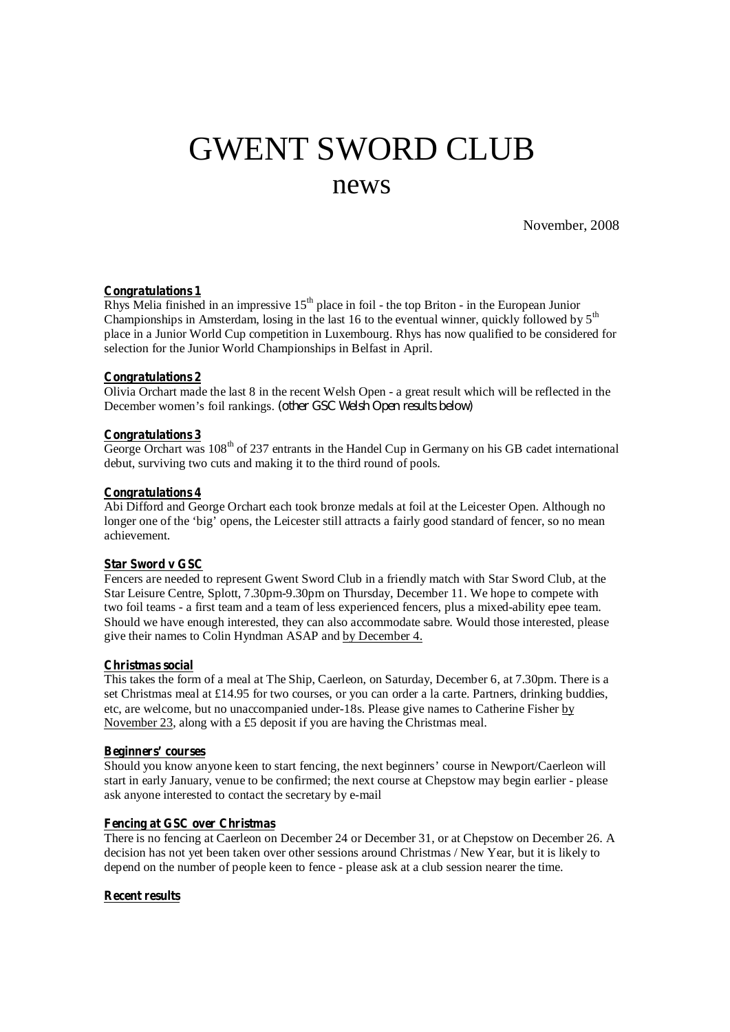# GWENT SWORD CLUB news

November, 2008

## **Congratulations 1**

Rhys Melia finished in an impressive  $15<sup>th</sup>$  place in foil - the top Briton - in the European Junior Championships in Amsterdam, losing in the last 16 to the eventual winner, quickly followed by  $5<sup>th</sup>$ place in a Junior World Cup competition in Luxembourg. Rhys has now qualified to be considered for selection for the Junior World Championships in Belfast in April.

## **Congratulations 2**

Olivia Orchart made the last 8 in the recent Welsh Open - a great result which will be reflected in the December women's foil rankings. *(other GSC Welsh Open results below)*

#### **Congratulations 3**

George Orchart was 108<sup>th</sup> of 237 entrants in the Handel Cup in Germany on his GB cadet international debut, surviving two cuts and making it to the third round of pools.

# **Congratulations 4**

Abi Difford and George Orchart each took bronze medals at foil at the Leicester Open. Although no longer one of the 'big' opens, the Leicester still attracts a fairly good standard of fencer, so no mean achievement.

# **Star Sword v GSC**

Fencers are needed to represent Gwent Sword Club in a friendly match with Star Sword Club, at the Star Leisure Centre, Splott, 7.30pm-9.30pm on Thursday, December 11. We hope to compete with two foil teams - a first team and a team of less experienced fencers, plus a mixed-ability epee team. Should we have enough interested, they can also accommodate sabre. Would those interested, please give their names to Colin Hyndman ASAP and by December 4.

#### **Christmas social**

This takes the form of a meal at The Ship, Caerleon, on Saturday, December 6, at 7.30pm. There is a set Christmas meal at £14.95 for two courses, or you can order a la carte. Partners, drinking buddies, etc, are welcome, but no unaccompanied under-18s. Please give names to Catherine Fisher by November 23, along with a £5 deposit if you are having the Christmas meal.

#### **Beginners' courses**

Should you know anyone keen to start fencing, the next beginners' course in Newport/Caerleon will start in early January, venue to be confirmed; the next course at Chepstow may begin earlier - please ask anyone interested to contact the secretary by e-mail

## **Fencing at GSC over Christmas**

There is no fencing at Caerleon on December 24 or December 31, or at Chepstow on December 26. A decision has not yet been taken over other sessions around Christmas / New Year, but it is likely to depend on the number of people keen to fence - please ask at a club session nearer the time.

# **Recent results**